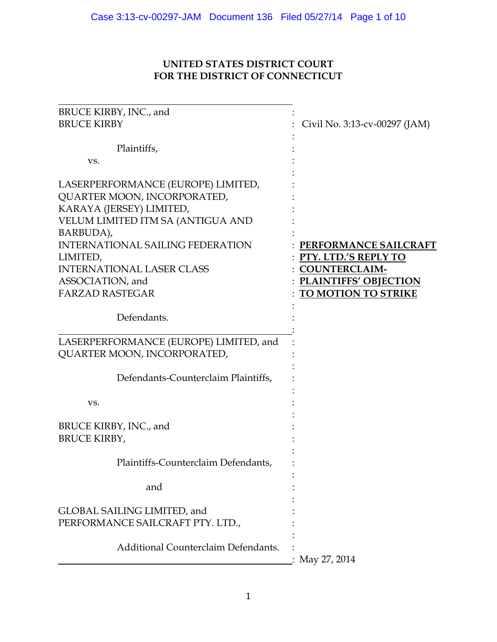# UNITED STATES DISTRICT COURT FOR THE DISTRICT OF CONNECTICUT

| BRUCE KIRBY, INC., and                                            |                               |
|-------------------------------------------------------------------|-------------------------------|
| <b>BRUCE KIRBY</b>                                                | Civil No. 3:13-cv-00297 (JAM) |
|                                                                   |                               |
| Plaintiffs,                                                       |                               |
| VS.                                                               |                               |
| LASERPERFORMANCE (EUROPE) LIMITED,<br>QUARTER MOON, INCORPORATED, |                               |
| KARAYA (JERSEY) LIMITED,                                          |                               |
| VELUM LIMITED ITM SA (ANTIGUA AND                                 |                               |
| BARBUDA),                                                         |                               |
| <b>INTERNATIONAL SAILING FEDERATION</b>                           | PERFORMANCE SAILCRAFT         |
| LIMITED,                                                          | PTY. LTD.'S REPLY TO          |
| <b>INTERNATIONAL LASER CLASS</b>                                  | <b>COUNTERCLAIM-</b>          |
| ASSOCIATION, and                                                  | <b>PLAINTIFFS' OBJECTION</b>  |
| <b>FARZAD RASTEGAR</b>                                            | TO MOTION TO STRIKE           |
|                                                                   |                               |
| Defendants.                                                       |                               |
|                                                                   |                               |
| LASERPERFORMANCE (EUROPE) LIMITED, and                            |                               |
| QUARTER MOON, INCORPORATED,                                       |                               |
|                                                                   |                               |
| Defendants-Counterclaim Plaintiffs,                               |                               |
|                                                                   |                               |
| VS.                                                               |                               |
|                                                                   |                               |
| BRUCE KIRBY, INC., and                                            |                               |
| <b>BRUCE KIRBY,</b>                                               |                               |
| Plaintiffs-Counterclaim Defendants,                               |                               |
|                                                                   |                               |
| and                                                               |                               |
|                                                                   |                               |
| GLOBAL SAILING LIMITED, and                                       |                               |
| PERFORMANCE SAILCRAFT PTY. LTD.,                                  |                               |
|                                                                   |                               |
| Additional Counterclaim Defendants.                               |                               |
|                                                                   | May 27, 2014                  |
|                                                                   |                               |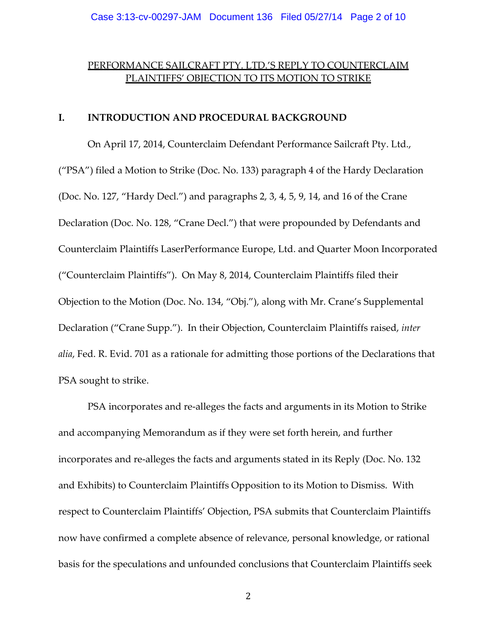# PERFORMANCE SAILCRAFT PTY. LTD.'S REPLY TO COUNTERCLAIM PLAINTIFFS' OBJECTION TO ITS MOTION TO STRIKE

## I. INTRODUCTION AND PROCEDURAL BACKGROUND

On April 17, 2014, Counterclaim Defendant Performance Sailcraft Pty. Ltd., ("PSA") filed a Motion to Strike (Doc. No. 133) paragraph 4 of the Hardy Declaration (Doc. No. 127, "Hardy Decl.") and paragraphs 2, 3, 4, 5, 9, 14, and 16 of the Crane Declaration (Doc. No. 128, "Crane Decl.") that were propounded by Defendants and Counterclaim Plaintiffs LaserPerformance Europe, Ltd. and Quarter Moon Incorporated ("Counterclaim Plaintiffs"). On May 8, 2014, Counterclaim Plaintiffs filed their Objection to the Motion (Doc. No. 134, "Obj."), along with Mr. Crane's Supplemental Declaration ("Crane Supp."). In their Objection, Counterclaim Plaintiffs raised, inter alia, Fed. R. Evid. 701 as a rationale for admitting those portions of the Declarations that PSA sought to strike.

PSA incorporates and re-alleges the facts and arguments in its Motion to Strike and accompanying Memorandum as if they were set forth herein, and further incorporates and re-alleges the facts and arguments stated in its Reply (Doc. No. 132 and Exhibits) to Counterclaim Plaintiffs Opposition to its Motion to Dismiss. With respect to Counterclaim Plaintiffs' Objection, PSA submits that Counterclaim Plaintiffs now have confirmed a complete absence of relevance, personal knowledge, or rational basis for the speculations and unfounded conclusions that Counterclaim Plaintiffs seek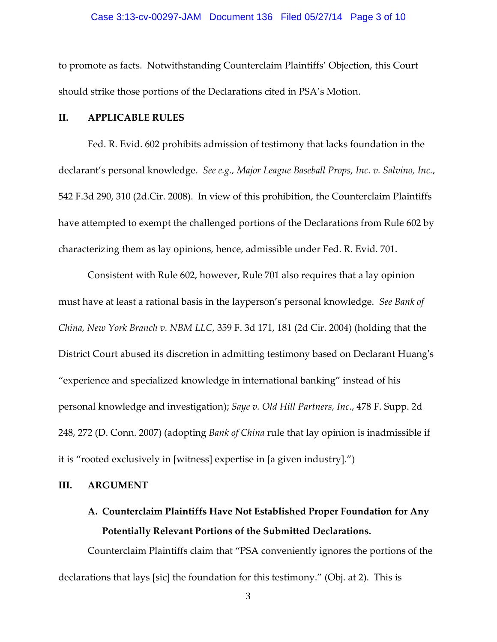#### Case 3:13-cv-00297-JAM Document 136 Filed 05/27/14 Page 3 of 10

to promote as facts. Notwithstanding Counterclaim Plaintiffs' Objection, this Court should strike those portions of the Declarations cited in PSA's Motion.

## II. APPLICABLE RULES

Fed. R. Evid. 602 prohibits admission of testimony that lacks foundation in the declarant's personal knowledge. See e.g., Major League Baseball Props, Inc. v. Salvino, Inc., 542 F.3d 290, 310 (2d.Cir. 2008). In view of this prohibition, the Counterclaim Plaintiffs have attempted to exempt the challenged portions of the Declarations from Rule 602 by characterizing them as lay opinions, hence, admissible under Fed. R. Evid. 701.

Consistent with Rule 602, however, Rule 701 also requires that a lay opinion must have at least a rational basis in the layperson's personal knowledge. See Bank of China, New York Branch v. NBM LLC, 359 F. 3d 171, 181 (2d Cir. 2004) (holding that the District Court abused its discretion in admitting testimony based on Declarant Huang's "experience and specialized knowledge in international banking" instead of his personal knowledge and investigation); Saye v. Old Hill Partners, Inc., 478 F. Supp. 2d 248, 272 (D. Conn. 2007) (adopting Bank of China rule that lay opinion is inadmissible if it is "rooted exclusively in [witness] expertise in [a given industry].")

#### III. ARGUMENT

# A. Counterclaim Plaintiffs Have Not Established Proper Foundation for Any Potentially Relevant Portions of the Submitted Declarations.

Counterclaim Plaintiffs claim that "PSA conveniently ignores the portions of the declarations that lays [sic] the foundation for this testimony." (Obj. at 2). This is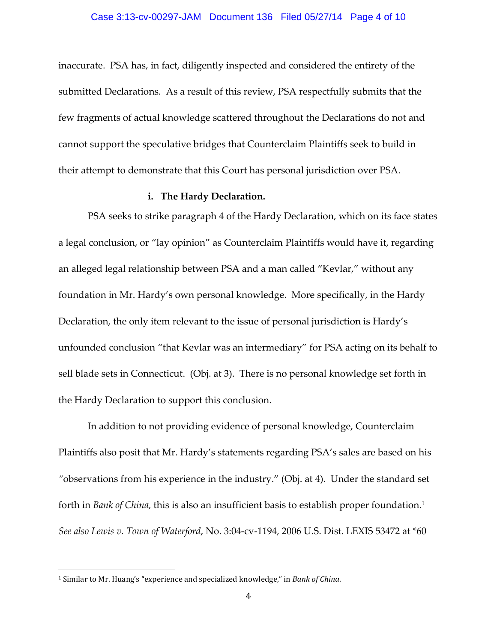inaccurate. PSA has, in fact, diligently inspected and considered the entirety of the submitted Declarations. As a result of this review, PSA respectfully submits that the few fragments of actual knowledge scattered throughout the Declarations do not and cannot support the speculative bridges that Counterclaim Plaintiffs seek to build in their attempt to demonstrate that this Court has personal jurisdiction over PSA.

#### i. The Hardy Declaration.

PSA seeks to strike paragraph 4 of the Hardy Declaration, which on its face states a legal conclusion, or "lay opinion" as Counterclaim Plaintiffs would have it, regarding an alleged legal relationship between PSA and a man called "Kevlar," without any foundation in Mr. Hardy's own personal knowledge. More specifically, in the Hardy Declaration, the only item relevant to the issue of personal jurisdiction is Hardy's unfounded conclusion "that Kevlar was an intermediary" for PSA acting on its behalf to sell blade sets in Connecticut. (Obj. at 3). There is no personal knowledge set forth in the Hardy Declaration to support this conclusion.

In addition to not providing evidence of personal knowledge, Counterclaim Plaintiffs also posit that Mr. Hardy's statements regarding PSA's sales are based on his "observations from his experience in the industry." (Obj. at 4). Under the standard set forth in *Bank of China,* this is also an insufficient basis to establish proper foundation.<sup>1</sup> See also Lewis v. Town of Waterford, No. 3:04-cv-1194, 2006 U.S. Dist. LEXIS 53472 at \*60

 $\overline{a}$ 

<sup>&</sup>lt;sup>1</sup> Similar to Mr. Huang's "experience and specialized knowledge," in Bank of China.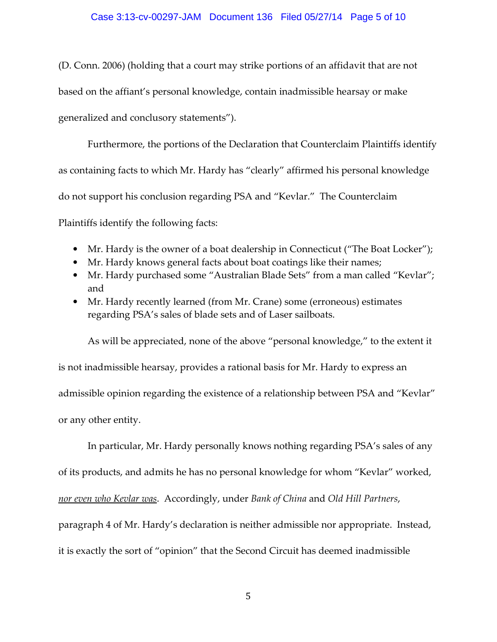## Case 3:13-cv-00297-JAM Document 136 Filed 05/27/14 Page 5 of 10

(D. Conn. 2006) (holding that a court may strike portions of an affidavit that are not based on the affiant's personal knowledge, contain inadmissible hearsay or make generalized and conclusory statements").

Furthermore, the portions of the Declaration that Counterclaim Plaintiffs identify as containing facts to which Mr. Hardy has "clearly" affirmed his personal knowledge do not support his conclusion regarding PSA and "Kevlar." The Counterclaim Plaintiffs identify the following facts:

- Mr. Hardy is the owner of a boat dealership in Connecticut ("The Boat Locker");
- Mr. Hardy knows general facts about boat coatings like their names;
- Mr. Hardy purchased some "Australian Blade Sets" from a man called "Kevlar"; and
- Mr. Hardy recently learned (from Mr. Crane) some (erroneous) estimates regarding PSA's sales of blade sets and of Laser sailboats.

As will be appreciated, none of the above "personal knowledge," to the extent it is not inadmissible hearsay, provides a rational basis for Mr. Hardy to express an admissible opinion regarding the existence of a relationship between PSA and "Kevlar" or any other entity.

In particular, Mr. Hardy personally knows nothing regarding PSA's sales of any of its products, and admits he has no personal knowledge for whom "Kevlar" worked, nor even who Kevlar was. Accordingly, under Bank of China and Old Hill Partners, paragraph 4 of Mr. Hardy's declaration is neither admissible nor appropriate. Instead, it is exactly the sort of "opinion" that the Second Circuit has deemed inadmissible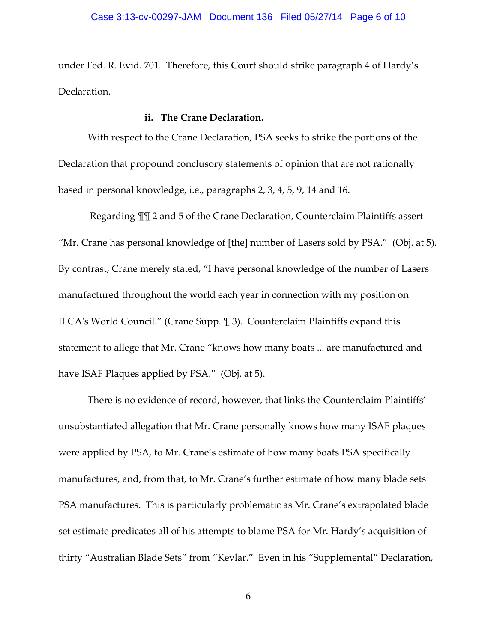under Fed. R. Evid. 701. Therefore, this Court should strike paragraph 4 of Hardy's Declaration.

#### ii. The Crane Declaration.

With respect to the Crane Declaration, PSA seeks to strike the portions of the Declaration that propound conclusory statements of opinion that are not rationally based in personal knowledge, i.e., paragraphs 2, 3, 4, 5, 9, 14 and 16.

 Regarding ¶¶ 2 and 5 of the Crane Declaration, Counterclaim Plaintiffs assert "Mr. Crane has personal knowledge of [the] number of Lasers sold by PSA." (Obj. at 5). By contrast, Crane merely stated, "I have personal knowledge of the number of Lasers manufactured throughout the world each year in connection with my position on ILCA's World Council." (Crane Supp. ¶ 3). Counterclaim Plaintiffs expand this statement to allege that Mr. Crane "knows how many boats ... are manufactured and have ISAF Plaques applied by PSA." (Obj. at 5).

There is no evidence of record, however, that links the Counterclaim Plaintiffs' unsubstantiated allegation that Mr. Crane personally knows how many ISAF plaques were applied by PSA, to Mr. Crane's estimate of how many boats PSA specifically manufactures, and, from that, to Mr. Crane's further estimate of how many blade sets PSA manufactures. This is particularly problematic as Mr. Crane's extrapolated blade set estimate predicates all of his attempts to blame PSA for Mr. Hardy's acquisition of thirty "Australian Blade Sets" from "Kevlar." Even in his "Supplemental" Declaration,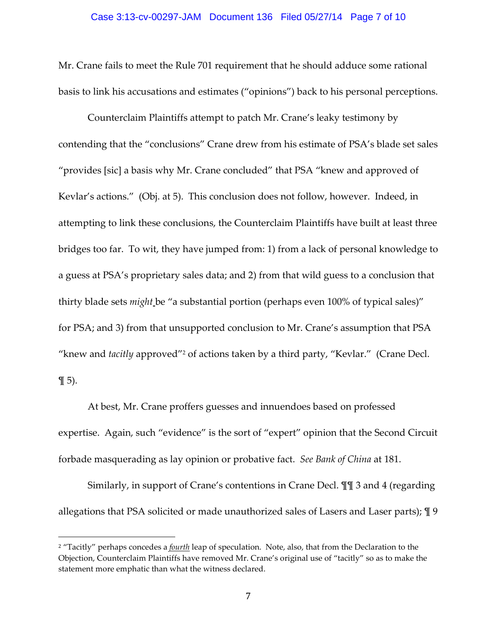#### Case 3:13-cv-00297-JAM Document 136 Filed 05/27/14 Page 7 of 10

Mr. Crane fails to meet the Rule 701 requirement that he should adduce some rational basis to link his accusations and estimates ("opinions") back to his personal perceptions.

Counterclaim Plaintiffs attempt to patch Mr. Crane's leaky testimony by contending that the "conclusions" Crane drew from his estimate of PSA's blade set sales "provides [sic] a basis why Mr. Crane concluded" that PSA "knew and approved of Kevlar's actions." (Obj. at 5). This conclusion does not follow, however. Indeed, in attempting to link these conclusions, the Counterclaim Plaintiffs have built at least three bridges too far. To wit, they have jumped from: 1) from a lack of personal knowledge to a guess at PSA's proprietary sales data; and 2) from that wild guess to a conclusion that thirty blade sets might be "a substantial portion (perhaps even 100% of typical sales)" for PSA; and 3) from that unsupported conclusion to Mr. Crane's assumption that PSA "knew and *tacitly* approved"<sup>2</sup> of actions taken by a third party, "Kevlar." (Crane Decl.  $\P$  5).

At best, Mr. Crane proffers guesses and innuendoes based on professed expertise. Again, such "evidence" is the sort of "expert" opinion that the Second Circuit forbade masquerading as lay opinion or probative fact. See Bank of China at 181.

Similarly, in support of Crane's contentions in Crane Decl. ¶¶ 3 and 4 (regarding allegations that PSA solicited or made unauthorized sales of Lasers and Laser parts); ¶ 9

 $\overline{a}$ 

<sup>&</sup>lt;sup>2</sup> "Tacitly" perhaps concedes a <u>fourth</u> leap of speculation. Note, also, that from the Declaration to the Objection, Counterclaim Plaintiffs have removed Mr. Crane's original use of "tacitly" so as to make the statement more emphatic than what the witness declared.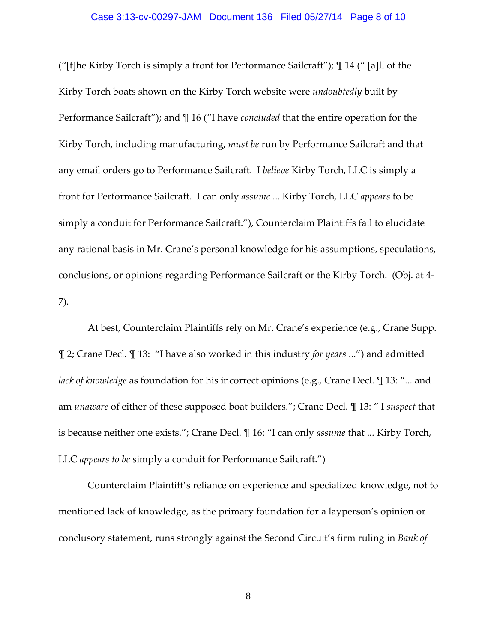#### Case 3:13-cv-00297-JAM Document 136 Filed 05/27/14 Page 8 of 10

("[t]he Kirby Torch is simply a front for Performance Sailcraft"); ¶ 14 (" [a]ll of the Kirby Torch boats shown on the Kirby Torch website were undoubtedly built by Performance Sailcraft"); and ¶ 16 ("I have concluded that the entire operation for the Kirby Torch, including manufacturing, must be run by Performance Sailcraft and that any email orders go to Performance Sailcraft. I believe Kirby Torch, LLC is simply a front for Performance Sailcraft. I can only assume ... Kirby Torch, LLC appears to be simply a conduit for Performance Sailcraft."), Counterclaim Plaintiffs fail to elucidate any rational basis in Mr. Crane's personal knowledge for his assumptions, speculations, conclusions, or opinions regarding Performance Sailcraft or the Kirby Torch. (Obj. at 4- 7).

At best, Counterclaim Plaintiffs rely on Mr. Crane's experience (e.g., Crane Supp. ¶ 2; Crane Decl. ¶ 13: "I have also worked in this industry for years ...") and admitted lack of knowledge as foundation for his incorrect opinions (e.g., Crane Decl. I 13: "... and am unaware of either of these supposed boat builders."; Crane Decl. ¶ 13: " I suspect that is because neither one exists."; Crane Decl. ¶ 16: "I can only assume that ... Kirby Torch, LLC appears to be simply a conduit for Performance Sailcraft.")

Counterclaim Plaintiff's reliance on experience and specialized knowledge, not to mentioned lack of knowledge, as the primary foundation for a layperson's opinion or conclusory statement, runs strongly against the Second Circuit's firm ruling in Bank of

8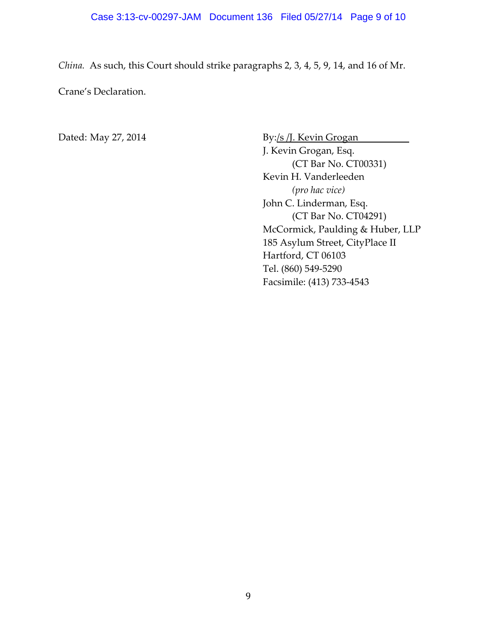China. As such, this Court should strike paragraphs 2, 3, 4, 5, 9, 14, and 16 of Mr.

Crane's Declaration.

Dated: May 27, 2014 By:/s /J. Kevin Grogan J. Kevin Grogan, Esq. (CT Bar No. CT00331) Kevin H. Vanderleeden (pro hac vice) John C. Linderman, Esq. (CT Bar No. CT04291) McCormick, Paulding & Huber, LLP 185 Asylum Street, CityPlace II Hartford, CT 06103 Tel. (860) 549-5290 Facsimile: (413) 733-4543